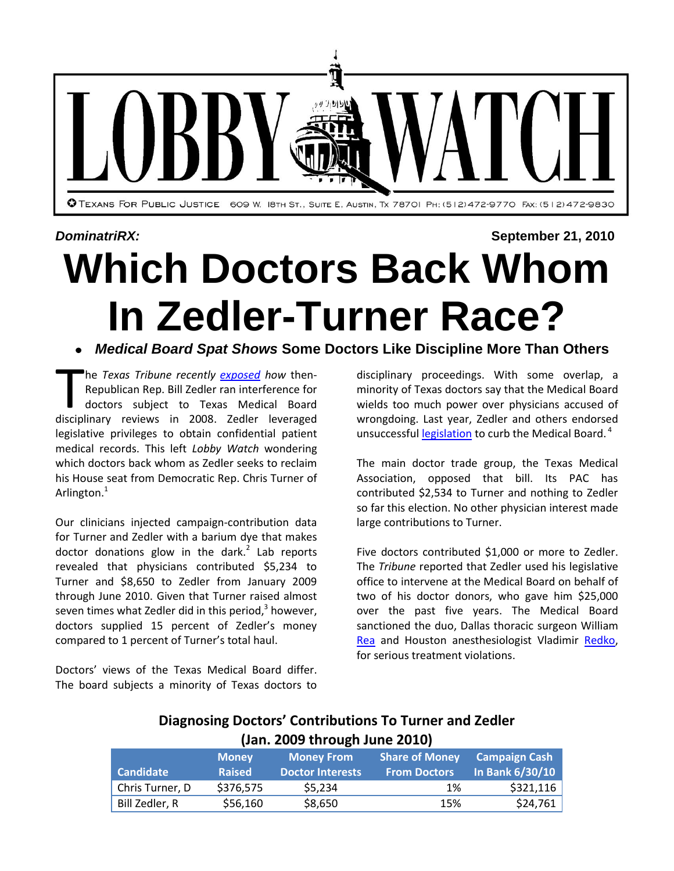

# *DominatriRX:* **September 21, 2010 Which Doctors Back Whom In Zedler-Turner Race?**

## *Medical Board Spat Shows* **Some Doctors Like Discipline More Than Others**

he *Texas Tribune recently [exposed](http://www.texastribune.org/texas-health-resources/texas-medical-board/did-lawmaker-access-private-records-to-help-donors/) how* then-Republican Rep. Bill Zedler ran interference for doctors subject to Texas Medical Board The *Texas Tribune recently exposed how* then-<br>Republican Rep. Bill Zedler ran interference for<br>doctors subject to Texas Medical Board<br>disciplinary reviews in 2008. Zedler leveraged legislative privileges to obtain confidential patient medical records. This left *Lobby Watch* wondering which doctors back whom as Zedler seeks to reclaim his House seat from Democratic Rep. Chris Turner of Arlington.<sup>1</sup>

Our clinicians injected campaign-contribution data for Turner and Zedler with a barium dye that makes doctor donations glow in the dark. $2$  Lab reports revealed that physicians contributed \$5,234 to Turner and \$8,650 to Zedler from January 2009 through June 2010. Given that Turner raised almost seven times what Zedler did in this period,<sup>3</sup> however, doctors supplied 15 percent of Zedler's money compared to 1 percent of Turner's total haul.

Doctors' views of the Texas Medical Board differ. The board subjects a minority of Texas doctors to disciplinary proceedings. With some overlap, a minority of Texas doctors say that the Medical Board wields too much power over physicians accused of wrongdoing. Last year, Zedler and others endorsed unsuccessful **legislation** to curb the Medical Board.<sup>4</sup>

The main doctor trade group, the Texas Medical Association, opposed that bill. Its PAC has contributed \$2,534 to Turner and nothing to Zedler so far this election. No other physician interest made large contributions to Turner.

Five doctors contributed \$1,000 or more to Zedler. The *Tribune* reported that Zedler used his legislative office to intervene at the Medical Board on behalf of two of his doctor donors, who gave him \$25,000 over the past five years. The Medical Board sanctioned the duo, Dallas thoracic surgeon William [Rea](http://reg.tmb.state.tx.us/BoardOrders/BOARD%20ORDERS/e00/00/74/0000741D.pdf) and Houston anesthesiologist Vladimir [Redko,](http://reg.tmb.state.tx.us/BoardOrders/BOARD%20ORDERS/e00/00/6A/00006A4E.pdf) for serious treatment violations.

## **Diagnosing Doctors' Contributions To Turner and Zedler (Jan. 2009 through June 2010)**

| <b>Candidate</b> | <b>Money</b><br><b>Raised</b> | <b>Money From</b><br><b>Doctor Interests</b> | <b>Share of Money</b><br><b>From Doctors</b> | <b>Campaign Cash</b><br>In Bank 6/30/10 |
|------------------|-------------------------------|----------------------------------------------|----------------------------------------------|-----------------------------------------|
| Chris Turner, D  | \$376,575                     | \$5.234                                      | 1%                                           | \$321,116                               |
| Bill Zedler, R   | \$56,160                      | \$8,650                                      | 15%                                          | \$24,761                                |